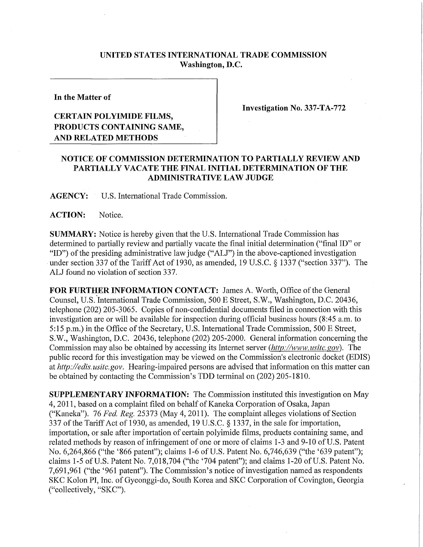## **UNITED STATES INTERNATIONAL TRADE COMMISSION Washington, D.C.**

**In the Matter of** 

## **CERTAIN POLYIMIDE FILMS, PRODUCTS CONTAINING SAME, AND RELATED METHODS**

**Investigation No. 337-TA-772** 

## **NOTICE OF COMMISSION DETERMINATION TO PARTIALL Y REVIEW AND PARTIALL Y VACATE THE FINAL INITIAL DETERMINATION OF THE ADMINISTRATIVE LAW JUDGE**

**AGENCY:** U.S. International Trade Commission.

**ACTION:** Notice.

**SUMMARY:** Notice is hereby given that the U.S. International Trade Commission has determined to partially review and partially vacate the final initial determination ("final ID" or "ID") of the presiding administrative law judge ("ALJ") in the above-captioned investigation under section 337 of the Tariff Act of 1930, as amended, 19 U.S.C. § 1337 ("section 337"). The ALJ found no violation of section 337.

FOR FURTHER INFORMATION CONTACT: James A. Worth, Office of the General Counsel, U.S. International Trade Commission, 500 E Street, S.W., Washington, D.C. 20436, telephone (202) 205-3065. Copies of non-confidential documents filed in connection with this investigation are or will be available for inspection during official business hours (8:45 a.m. to 5:15 p.m.) in the Office of the Secretary, U.S. International Trade Commission, 500 E Street, S.W., Washington, D.C. 20436, telephone (202) 205-2000. General information concerning the Commission may also be obtained by accessing its Internet server *(http://www, usitc. gov).* The public record for this investigation may be viewed on the Commission's electronic docket (EDIS) at *http://edis.usitc.gov.* Hearing-impaired persons are advised that information on this matter can be obtained by contacting the Commission's TDD terminal on (202) 205-1810.

**SUPPLEMENTARY INFORMATION:** The Commission instituted this investigation on May 4, 2011, based on a complaint filed on behalf of Kaneka Corporation of Osaka, Japan ("Kaneka"). 76 *Fed. Reg.* 25373 (May 4, 2011). The complaint alleges violations of Section 337 of the Tariff Act of 1930, as amended, 19 U.S.C. § 1337, in the sale for importation, importation, or sale after importation of certain polyimide films, products containing same, and related methods by reason of infringement of one or more of claims 1-3 and 9-10 of U.S. Patent No. 6,264,866 ("the '866 patent"); claims 1-6 of U.S. Patent No. 6,746,639 ("the '639 patent"); claims 1-5 of U.S. Patent No. 7,018,704 ("the '704 patent"); and claims 1-20 of U.S. Patent No. 7,691,961 ("the '961 patent"). The Commission's notice of investigation named as respondents SKC Kolon PI, Inc. of Gyeonggi-do, South Korea and SKC Corporation of Covington, Georgia ("collectively, "SKC").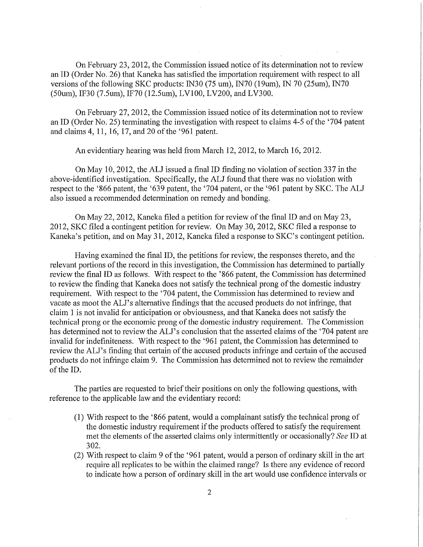On February 23, 2012, the Commission issued notice of its determination not to review an ID (Order No. 26) that Kaneka has satisfied the importation requirement with respect to all versions of the following SKC products: IN30 (75 um), IN70 (19 um), IN 70 (25 um), IN70 (50um), IF30 (7.5um), IF70 (12.5um), LV100, LV200, and LV300.

On February 27, 2012, the Commission issued notice of its determination not to review an ID (Order No. 25) terminating the investigation with respect to claims 4-5 of the '704 patent and claims 4, 11, 16, 17, and 20 of the '961 patent.

An evidentiary hearing was held from March 12, 2012, to March 16, 2012.

On May 10, 2012, the ALJ issued a final ID finding no violation of section 337 in the above-identified investigation. Specifically, the ALJ found that there was no violation with respect to the '866 patent, the '639 patent, the '704 patent, or the '961 patent by SKC. The ALJ also issued a recommended determination on remedy and bonding.

On May 22, 2012, Kaneka filed a petition for review of the final ID and on May 23, 2012, SKC filed a contingent petition for review. On May 30, 2012, SKC filed a response to Kaneka's petition, and on May 31, 2012, Kaneka filed a response to SKC's contingent petition.

Having examined the final ID, the petitions for review, the responses thereto, and the relevant portions of the record in this investigation, the Commission has determined to partially review the final ID as follows. With respect to the '866 patent, the Commission has determined to review the finding that Kaneka does not satisfy the technical prong of the domestic industry requirement. With respect to the '704 patent, the Commission has detennined to review and vacate as moot the ALJ's alternative findings that the accused products do not infringe, that claim 1 is not invalid for anticipation or obviousness, and that Kaneka does not satisfy the technical prong or the economic prong of the domestic industry requirement. The Commission has determined not to review the ALJ's conclusion that the asserted claims of the '704 patent are invalid for indefmiteness. With respect to the '961 patent, the Commission has determined to review the ALJ's finding that certain of the accused products infringe and certain of the accused products do not infringe claim 9. The Commission has determined not to review the remainder of the ID.

The parties are requested to brief their positions on only the following questions, with reference to the applicable law and the evidentiary record:

- (1) With respect to the '866 patent, would a complainant satisfy the teclinical prong of the domestic industry requirement if the products offered to satisfy the requirement met the elements of the asserted claims only intermittently or occasionally? *See* ID at 302.
- (2) With respect to claim 9 of the '961 patent, would a person of ordinary skill in the art require all replicates to be within the claimed range? Is there any evidence of record to indicate how a person of ordinary skill in the art would use confidence intervals or